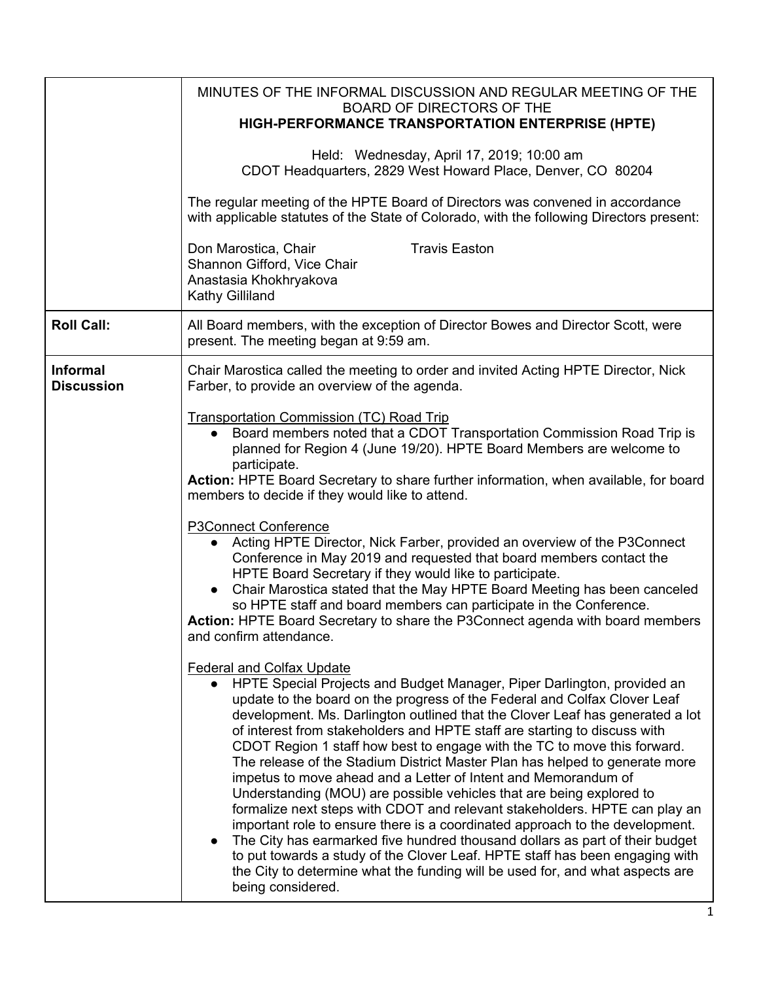|                                      | MINUTES OF THE INFORMAL DISCUSSION AND REGULAR MEETING OF THE<br><b>BOARD OF DIRECTORS OF THE</b><br>HIGH-PERFORMANCE TRANSPORTATION ENTERPRISE (HPTE)                                                                                                                                                                                                                                                                                                                                                                                                                                                                                                                                                                                                                                                                                                                                                                                                                                                                                                                                          |
|--------------------------------------|-------------------------------------------------------------------------------------------------------------------------------------------------------------------------------------------------------------------------------------------------------------------------------------------------------------------------------------------------------------------------------------------------------------------------------------------------------------------------------------------------------------------------------------------------------------------------------------------------------------------------------------------------------------------------------------------------------------------------------------------------------------------------------------------------------------------------------------------------------------------------------------------------------------------------------------------------------------------------------------------------------------------------------------------------------------------------------------------------|
|                                      | Held: Wednesday, April 17, 2019; 10:00 am<br>CDOT Headquarters, 2829 West Howard Place, Denver, CO 80204                                                                                                                                                                                                                                                                                                                                                                                                                                                                                                                                                                                                                                                                                                                                                                                                                                                                                                                                                                                        |
|                                      | The regular meeting of the HPTE Board of Directors was convened in accordance<br>with applicable statutes of the State of Colorado, with the following Directors present:                                                                                                                                                                                                                                                                                                                                                                                                                                                                                                                                                                                                                                                                                                                                                                                                                                                                                                                       |
|                                      | Don Marostica, Chair<br><b>Travis Easton</b><br>Shannon Gifford, Vice Chair<br>Anastasia Khokhryakova<br>Kathy Gilliland                                                                                                                                                                                                                                                                                                                                                                                                                                                                                                                                                                                                                                                                                                                                                                                                                                                                                                                                                                        |
| <b>Roll Call:</b>                    | All Board members, with the exception of Director Bowes and Director Scott, were<br>present. The meeting began at 9:59 am.                                                                                                                                                                                                                                                                                                                                                                                                                                                                                                                                                                                                                                                                                                                                                                                                                                                                                                                                                                      |
| <b>Informal</b><br><b>Discussion</b> | Chair Marostica called the meeting to order and invited Acting HPTE Director, Nick<br>Farber, to provide an overview of the agenda.                                                                                                                                                                                                                                                                                                                                                                                                                                                                                                                                                                                                                                                                                                                                                                                                                                                                                                                                                             |
|                                      | <b>Transportation Commission (TC) Road Trip</b><br>Board members noted that a CDOT Transportation Commission Road Trip is<br>planned for Region 4 (June 19/20). HPTE Board Members are welcome to<br>participate.<br>Action: HPTE Board Secretary to share further information, when available, for board<br>members to decide if they would like to attend.                                                                                                                                                                                                                                                                                                                                                                                                                                                                                                                                                                                                                                                                                                                                    |
|                                      | <b>P3Connect Conference</b><br>Acting HPTE Director, Nick Farber, provided an overview of the P3Connect<br>Conference in May 2019 and requested that board members contact the<br>HPTE Board Secretary if they would like to participate.<br>Chair Marostica stated that the May HPTE Board Meeting has been canceled<br>$\bullet$<br>so HPTE staff and board members can participate in the Conference.<br><b>Action: HPTE Board Secretary to share the P3Connect agenda with board members</b><br>and confirm attendance.                                                                                                                                                                                                                                                                                                                                                                                                                                                                                                                                                                     |
|                                      | <b>Federal and Colfax Update</b><br>HPTE Special Projects and Budget Manager, Piper Darlington, provided an<br>update to the board on the progress of the Federal and Colfax Clover Leaf<br>development. Ms. Darlington outlined that the Clover Leaf has generated a lot<br>of interest from stakeholders and HPTE staff are starting to discuss with<br>CDOT Region 1 staff how best to engage with the TC to move this forward.<br>The release of the Stadium District Master Plan has helped to generate more<br>impetus to move ahead and a Letter of Intent and Memorandum of<br>Understanding (MOU) are possible vehicles that are being explored to<br>formalize next steps with CDOT and relevant stakeholders. HPTE can play an<br>important role to ensure there is a coordinated approach to the development.<br>The City has earmarked five hundred thousand dollars as part of their budget<br>to put towards a study of the Clover Leaf. HPTE staff has been engaging with<br>the City to determine what the funding will be used for, and what aspects are<br>being considered. |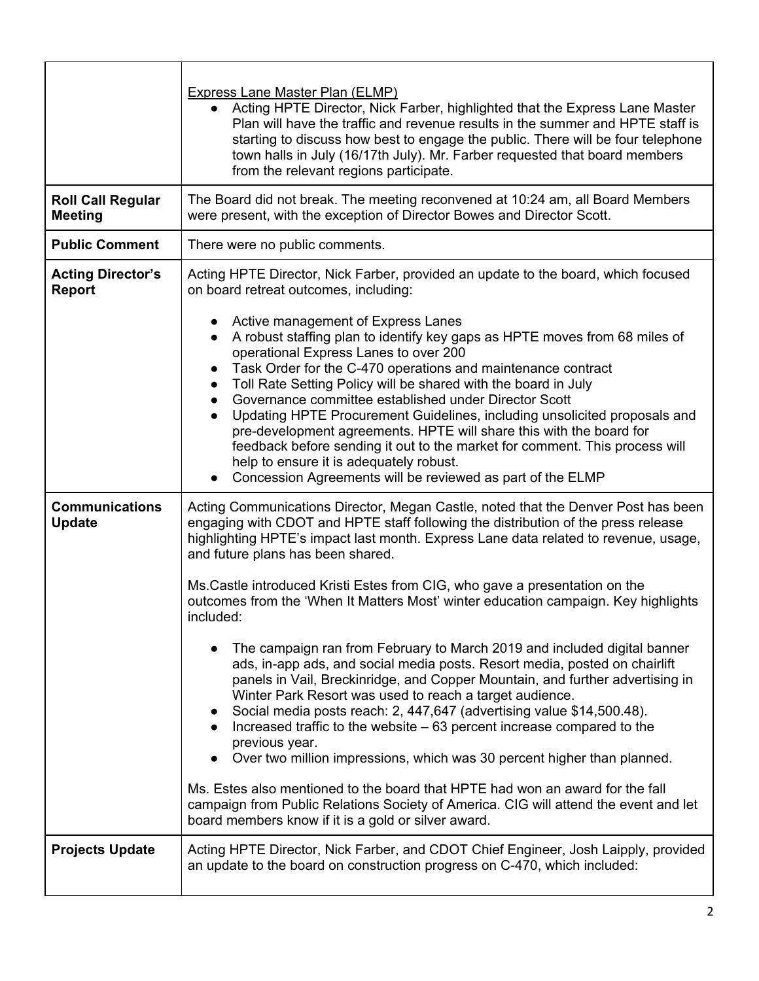|                                            | <b>Express Lane Master Plan (ELMP)</b><br>Acting HPTE Director, Nick Farber, highlighted that the Express Lane Master<br>Plan will have the traffic and revenue results in the summer and HPTE staff is<br>starting to discuss how best to engage the public. There will be four telephone<br>town halls in July (16/17th July). Mr. Farber requested that board members<br>from the relevant regions participate.                                                                                                                                 |
|--------------------------------------------|----------------------------------------------------------------------------------------------------------------------------------------------------------------------------------------------------------------------------------------------------------------------------------------------------------------------------------------------------------------------------------------------------------------------------------------------------------------------------------------------------------------------------------------------------|
| <b>Roll Call Regular</b><br><b>Meeting</b> | The Board did not break. The meeting reconvened at 10:24 am, all Board Members<br>were present, with the exception of Director Bowes and Director Scott.                                                                                                                                                                                                                                                                                                                                                                                           |
| <b>Public Comment</b>                      | There were no public comments.                                                                                                                                                                                                                                                                                                                                                                                                                                                                                                                     |
| <b>Acting Director's</b><br><b>Report</b>  | Acting HPTE Director, Nick Farber, provided an update to the board, which focused<br>on board retreat outcomes, including:<br>Active management of Express Lanes<br>A robust staffing plan to identify key gaps as HPTE moves from 68 miles of<br>operational Express Lanes to over 200                                                                                                                                                                                                                                                            |
|                                            | Task Order for the C-470 operations and maintenance contract<br>Toll Rate Setting Policy will be shared with the board in July<br>Governance committee established under Director Scott<br>Updating HPTE Procurement Guidelines, including unsolicited proposals and<br>$\bullet$<br>pre-development agreements. HPTE will share this with the board for<br>feedback before sending it out to the market for comment. This process will<br>help to ensure it is adequately robust.<br>Concession Agreements will be reviewed as part of the ELMP   |
| <b>Communications</b><br><b>Update</b>     | Acting Communications Director, Megan Castle, noted that the Denver Post has been<br>engaging with CDOT and HPTE staff following the distribution of the press release<br>highlighting HPTE's impact last month. Express Lane data related to revenue, usage,<br>and future plans has been shared.<br>Ms.Castle introduced Kristi Estes from CIG, who gave a presentation on the                                                                                                                                                                   |
|                                            | outcomes from the 'When It Matters Most' winter education campaign. Key highlights<br>included:                                                                                                                                                                                                                                                                                                                                                                                                                                                    |
|                                            | The campaign ran from February to March 2019 and included digital banner<br>ads, in-app ads, and social media posts. Resort media, posted on chairlift<br>panels in Vail, Breckinridge, and Copper Mountain, and further advertising in<br>Winter Park Resort was used to reach a target audience.<br>Social media posts reach: 2, 447,647 (advertising value \$14,500.48).<br>Increased traffic to the website - 63 percent increase compared to the<br>previous year.<br>Over two million impressions, which was 30 percent higher than planned. |
|                                            | Ms. Estes also mentioned to the board that HPTE had won an award for the fall<br>campaign from Public Relations Society of America. CIG will attend the event and let<br>board members know if it is a gold or silver award.                                                                                                                                                                                                                                                                                                                       |
| <b>Projects Update</b>                     | Acting HPTE Director, Nick Farber, and CDOT Chief Engineer, Josh Laipply, provided<br>an update to the board on construction progress on C-470, which included:                                                                                                                                                                                                                                                                                                                                                                                    |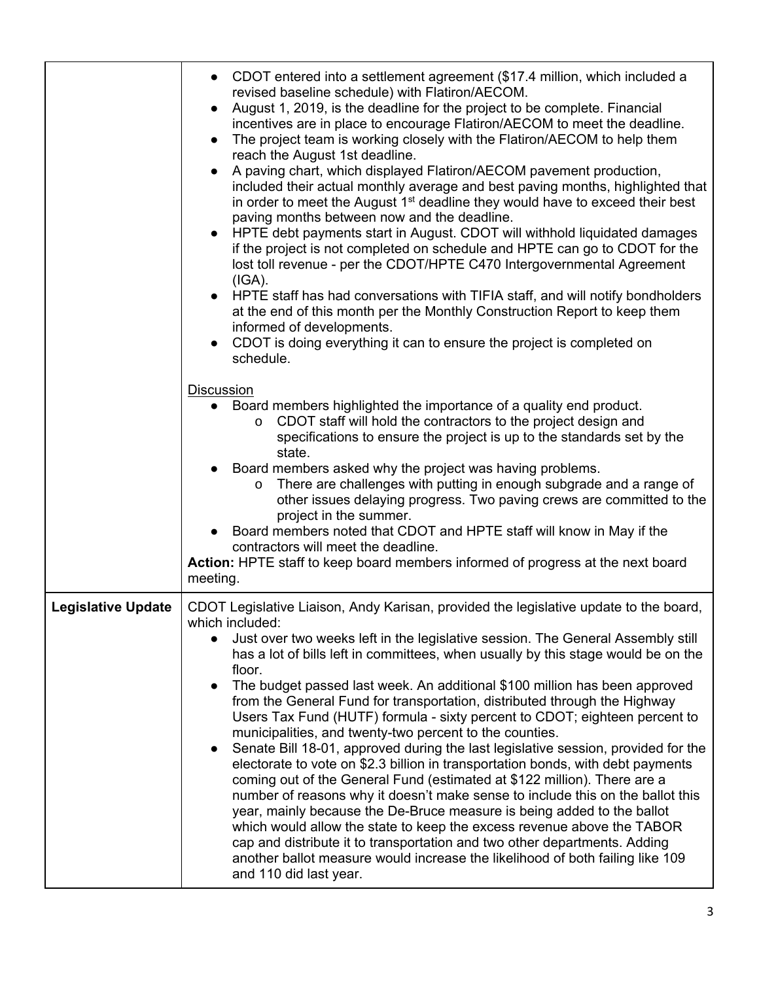|                           | CDOT entered into a settlement agreement (\$17.4 million, which included a<br>$\bullet$<br>revised baseline schedule) with Flatiron/AECOM.<br>August 1, 2019, is the deadline for the project to be complete. Financial<br>incentives are in place to encourage Flatiron/AECOM to meet the deadline.<br>The project team is working closely with the Flatiron/AECOM to help them<br>$\bullet$<br>reach the August 1st deadline.<br>A paving chart, which displayed Flatiron/AECOM pavement production,<br>$\bullet$<br>included their actual monthly average and best paving months, highlighted that<br>in order to meet the August 1 <sup>st</sup> deadline they would have to exceed their best<br>paving months between now and the deadline.<br>HPTE debt payments start in August. CDOT will withhold liquidated damages<br>if the project is not completed on schedule and HPTE can go to CDOT for the<br>lost toll revenue - per the CDOT/HPTE C470 Intergovernmental Agreement<br>(IGA).<br>• HPTE staff has had conversations with TIFIA staff, and will notify bondholders<br>at the end of this month per the Monthly Construction Report to keep them<br>informed of developments.<br>CDOT is doing everything it can to ensure the project is completed on<br>schedule.<br><b>Discussion</b><br>Board members highlighted the importance of a quality end product.<br>CDOT staff will hold the contractors to the project design and<br>$\circ$<br>specifications to ensure the project is up to the standards set by the<br>state.<br>Board members asked why the project was having problems.<br>There are challenges with putting in enough subgrade and a range of<br>$\circ$<br>other issues delaying progress. Two paving crews are committed to the<br>project in the summer.<br>Board members noted that CDOT and HPTE staff will know in May if the<br>contractors will meet the deadline.<br><b>Action:</b> HPTE staff to keep board members informed of progress at the next board<br>meeting. |
|---------------------------|-------------------------------------------------------------------------------------------------------------------------------------------------------------------------------------------------------------------------------------------------------------------------------------------------------------------------------------------------------------------------------------------------------------------------------------------------------------------------------------------------------------------------------------------------------------------------------------------------------------------------------------------------------------------------------------------------------------------------------------------------------------------------------------------------------------------------------------------------------------------------------------------------------------------------------------------------------------------------------------------------------------------------------------------------------------------------------------------------------------------------------------------------------------------------------------------------------------------------------------------------------------------------------------------------------------------------------------------------------------------------------------------------------------------------------------------------------------------------------------------------------------------------------------------------------------------------------------------------------------------------------------------------------------------------------------------------------------------------------------------------------------------------------------------------------------------------------------------------------------------------------------------------------------------------------------------------------------------------------------------------------------------------|
| <b>Legislative Update</b> | CDOT Legislative Liaison, Andy Karisan, provided the legislative update to the board,<br>which included:                                                                                                                                                                                                                                                                                                                                                                                                                                                                                                                                                                                                                                                                                                                                                                                                                                                                                                                                                                                                                                                                                                                                                                                                                                                                                                                                                                                                                                                                                                                                                                                                                                                                                                                                                                                                                                                                                                                |
|                           | Just over two weeks left in the legislative session. The General Assembly still<br>has a lot of bills left in committees, when usually by this stage would be on the<br>floor.<br>The budget passed last week. An additional \$100 million has been approved<br>$\bullet$<br>from the General Fund for transportation, distributed through the Highway<br>Users Tax Fund (HUTF) formula - sixty percent to CDOT; eighteen percent to<br>municipalities, and twenty-two percent to the counties.<br>Senate Bill 18-01, approved during the last legislative session, provided for the<br>electorate to vote on \$2.3 billion in transportation bonds, with debt payments<br>coming out of the General Fund (estimated at \$122 million). There are a<br>number of reasons why it doesn't make sense to include this on the ballot this<br>year, mainly because the De-Bruce measure is being added to the ballot<br>which would allow the state to keep the excess revenue above the TABOR<br>cap and distribute it to transportation and two other departments. Adding<br>another ballot measure would increase the likelihood of both failing like 109<br>and 110 did last year.                                                                                                                                                                                                                                                                                                                                                                                                                                                                                                                                                                                                                                                                                                                                                                                                                                       |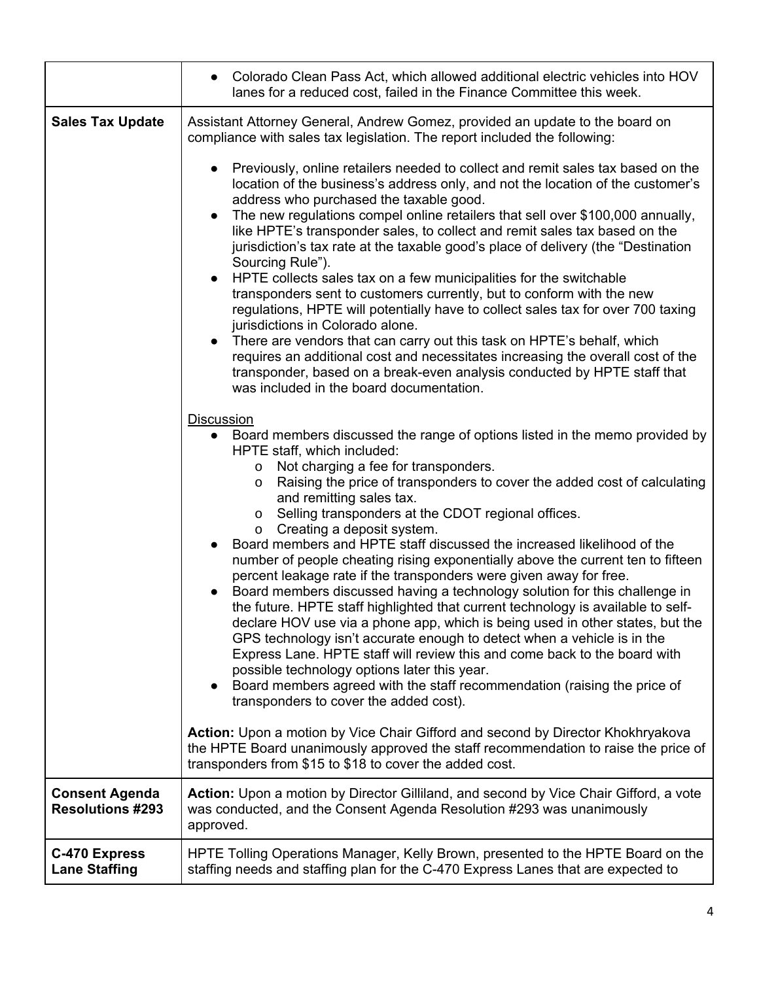|                                                  | Colorado Clean Pass Act, which allowed additional electric vehicles into HOV<br>$\bullet$<br>lanes for a reduced cost, failed in the Finance Committee this week.                                                                                                                                                                                                                                                                                                                                                                                                                                                                                                                                                                                                                                                                                                                                                                                                                                                 |
|--------------------------------------------------|-------------------------------------------------------------------------------------------------------------------------------------------------------------------------------------------------------------------------------------------------------------------------------------------------------------------------------------------------------------------------------------------------------------------------------------------------------------------------------------------------------------------------------------------------------------------------------------------------------------------------------------------------------------------------------------------------------------------------------------------------------------------------------------------------------------------------------------------------------------------------------------------------------------------------------------------------------------------------------------------------------------------|
| <b>Sales Tax Update</b>                          | Assistant Attorney General, Andrew Gomez, provided an update to the board on<br>compliance with sales tax legislation. The report included the following:<br>Previously, online retailers needed to collect and remit sales tax based on the<br>location of the business's address only, and not the location of the customer's<br>address who purchased the taxable good.<br>The new regulations compel online retailers that sell over \$100,000 annually,<br>like HPTE's transponder sales, to collect and remit sales tax based on the<br>jurisdiction's tax rate at the taxable good's place of delivery (the "Destination<br>Sourcing Rule").<br>HPTE collects sales tax on a few municipalities for the switchable<br>$\bullet$<br>transponders sent to customers currently, but to conform with the new<br>regulations, HPTE will potentially have to collect sales tax for over 700 taxing<br>jurisdictions in Colorado alone.<br>There are vendors that can carry out this task on HPTE's behalf, which |
|                                                  | requires an additional cost and necessitates increasing the overall cost of the<br>transponder, based on a break-even analysis conducted by HPTE staff that<br>was included in the board documentation.<br><b>Discussion</b><br>Board members discussed the range of options listed in the memo provided by<br>HPTE staff, which included:<br>Not charging a fee for transponders.<br>$\circ$<br>Raising the price of transponders to cover the added cost of calculating<br>$\circ$<br>and remitting sales tax.<br>Selling transponders at the CDOT regional offices.<br>$\circ$<br>Creating a deposit system.<br>$\circ$<br>Board members and HPTE staff discussed the increased likelihood of the                                                                                                                                                                                                                                                                                                              |
|                                                  | number of people cheating rising exponentially above the current ten to fifteen<br>percent leakage rate if the transponders were given away for free.<br>Board members discussed having a technology solution for this challenge in<br>the future. HPTE staff highlighted that current technology is available to self-<br>declare HOV use via a phone app, which is being used in other states, but the<br>GPS technology isn't accurate enough to detect when a vehicle is in the<br>Express Lane. HPTE staff will review this and come back to the board with<br>possible technology options later this year.<br>Board members agreed with the staff recommendation (raising the price of<br>transponders to cover the added cost).                                                                                                                                                                                                                                                                            |
|                                                  | Action: Upon a motion by Vice Chair Gifford and second by Director Khokhryakova<br>the HPTE Board unanimously approved the staff recommendation to raise the price of<br>transponders from \$15 to \$18 to cover the added cost.                                                                                                                                                                                                                                                                                                                                                                                                                                                                                                                                                                                                                                                                                                                                                                                  |
| <b>Consent Agenda</b><br><b>Resolutions #293</b> | Action: Upon a motion by Director Gilliland, and second by Vice Chair Gifford, a vote<br>was conducted, and the Consent Agenda Resolution #293 was unanimously<br>approved.                                                                                                                                                                                                                                                                                                                                                                                                                                                                                                                                                                                                                                                                                                                                                                                                                                       |
| <b>C-470 Express</b><br><b>Lane Staffing</b>     | HPTE Tolling Operations Manager, Kelly Brown, presented to the HPTE Board on the<br>staffing needs and staffing plan for the C-470 Express Lanes that are expected to                                                                                                                                                                                                                                                                                                                                                                                                                                                                                                                                                                                                                                                                                                                                                                                                                                             |